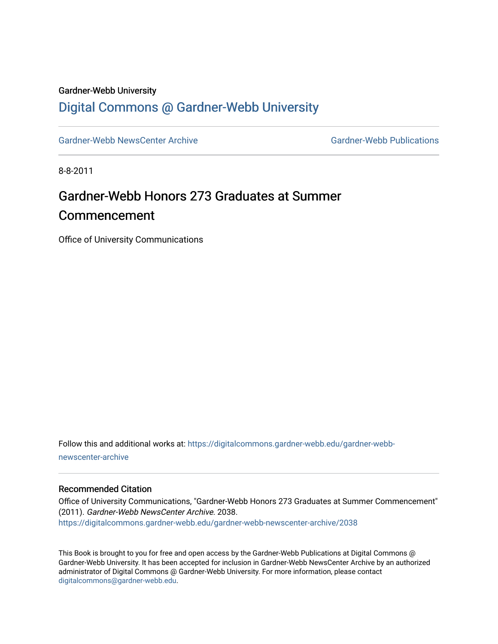### Gardner-Webb University

### [Digital Commons @ Gardner-Webb University](https://digitalcommons.gardner-webb.edu/)

[Gardner-Webb NewsCenter Archive](https://digitalcommons.gardner-webb.edu/gardner-webb-newscenter-archive) Gardner-Webb Publications

8-8-2011

# Gardner-Webb Honors 273 Graduates at Summer Commencement

Office of University Communications

Follow this and additional works at: [https://digitalcommons.gardner-webb.edu/gardner-webb](https://digitalcommons.gardner-webb.edu/gardner-webb-newscenter-archive?utm_source=digitalcommons.gardner-webb.edu%2Fgardner-webb-newscenter-archive%2F2038&utm_medium=PDF&utm_campaign=PDFCoverPages)[newscenter-archive](https://digitalcommons.gardner-webb.edu/gardner-webb-newscenter-archive?utm_source=digitalcommons.gardner-webb.edu%2Fgardner-webb-newscenter-archive%2F2038&utm_medium=PDF&utm_campaign=PDFCoverPages)

### Recommended Citation

Office of University Communications, "Gardner-Webb Honors 273 Graduates at Summer Commencement" (2011). Gardner-Webb NewsCenter Archive. 2038. [https://digitalcommons.gardner-webb.edu/gardner-webb-newscenter-archive/2038](https://digitalcommons.gardner-webb.edu/gardner-webb-newscenter-archive/2038?utm_source=digitalcommons.gardner-webb.edu%2Fgardner-webb-newscenter-archive%2F2038&utm_medium=PDF&utm_campaign=PDFCoverPages) 

This Book is brought to you for free and open access by the Gardner-Webb Publications at Digital Commons @ Gardner-Webb University. It has been accepted for inclusion in Gardner-Webb NewsCenter Archive by an authorized administrator of Digital Commons @ Gardner-Webb University. For more information, please contact [digitalcommons@gardner-webb.edu](mailto:digitalcommons@gardner-webb.edu).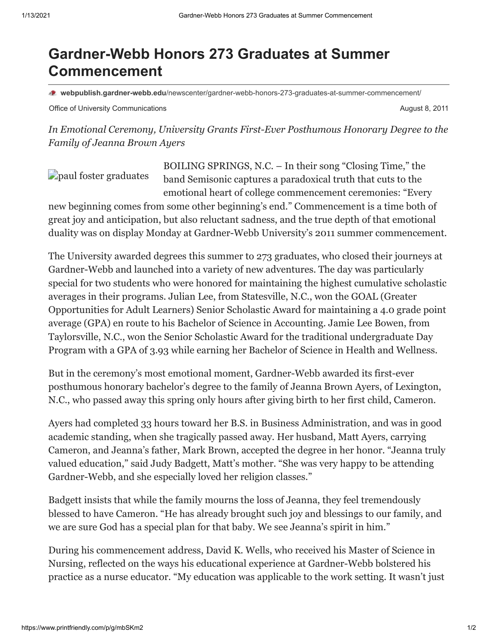## **Gardner-Webb Honors 273 Graduates at Summer Commencement**

**webpublish.gardner-webb.edu**[/newscenter/gardner-webb-honors-273-graduates-at-summer-commencement/](https://webpublish.gardner-webb.edu/newscenter/gardner-webb-honors-273-graduates-at-summer-commencement/)

Office of University Communications **August 8, 2011** Communications **August 8, 2011** 

*In Emotional Ceremony, University Grants First-Ever Posthumous Honorary Degree to the Family of Jeanna Brown Ayers*

[paul foster graduates](http://152.44.63.252/newscenter/?attachment_id=892)

BOILING SPRINGS, N.C. – In their song "Closing Time," the band Semisonic captures a paradoxical truth that cuts to the emotional heart of college commencement ceremonies: "Every

new beginning comes from some other beginning's end." Commencement is a time both of great joy and anticipation, but also reluctant sadness, and the true depth of that emotional duality was on display Monday at Gardner-Webb University's 2011 summer commencement.

The University awarded degrees this summer to 273 graduates, who closed their journeys at Gardner-Webb and launched into a variety of new adventures. The day was particularly special for two students who were honored for maintaining the highest cumulative scholastic averages in their programs. Julian Lee, from Statesville, N.C., won the GOAL (Greater Opportunities for Adult Learners) Senior Scholastic Award for maintaining a 4.0 grade point average (GPA) en route to his Bachelor of Science in Accounting. Jamie Lee Bowen, from Taylorsville, N.C., won the Senior Scholastic Award for the traditional undergraduate Day Program with a GPA of 3.93 while earning her Bachelor of Science in Health and Wellness.

But in the ceremony's most emotional moment, Gardner-Webb awarded its first-ever posthumous honorary bachelor's degree to the family of Jeanna Brown Ayers, of Lexington, N.C., who passed away this spring only hours after giving birth to her first child, Cameron.

Ayers had completed 33 hours toward her B.S. in Business Administration, and was in good academic standing, when she tragically passed away. Her husband, Matt Ayers, carrying Cameron, and Jeanna's father, Mark Brown, accepted the degree in her honor. "Jeanna truly valued education," said Judy Badgett, Matt's mother. "She was very happy to be attending Gardner-Webb, and she especially loved her religion classes."

Badgett insists that while the family mourns the loss of Jeanna, they feel tremendously blessed to have Cameron. "He has already brought such joy and blessings to our family, and we are sure God has a special plan for that baby. We see Jeanna's spirit in him."

During his commencement address, David K. Wells, who received his Master of Science in Nursing, reflected on the ways his educational experience at Gardner-Webb bolstered his practice as a nurse educator. "My education was applicable to the work setting. It wasn't just